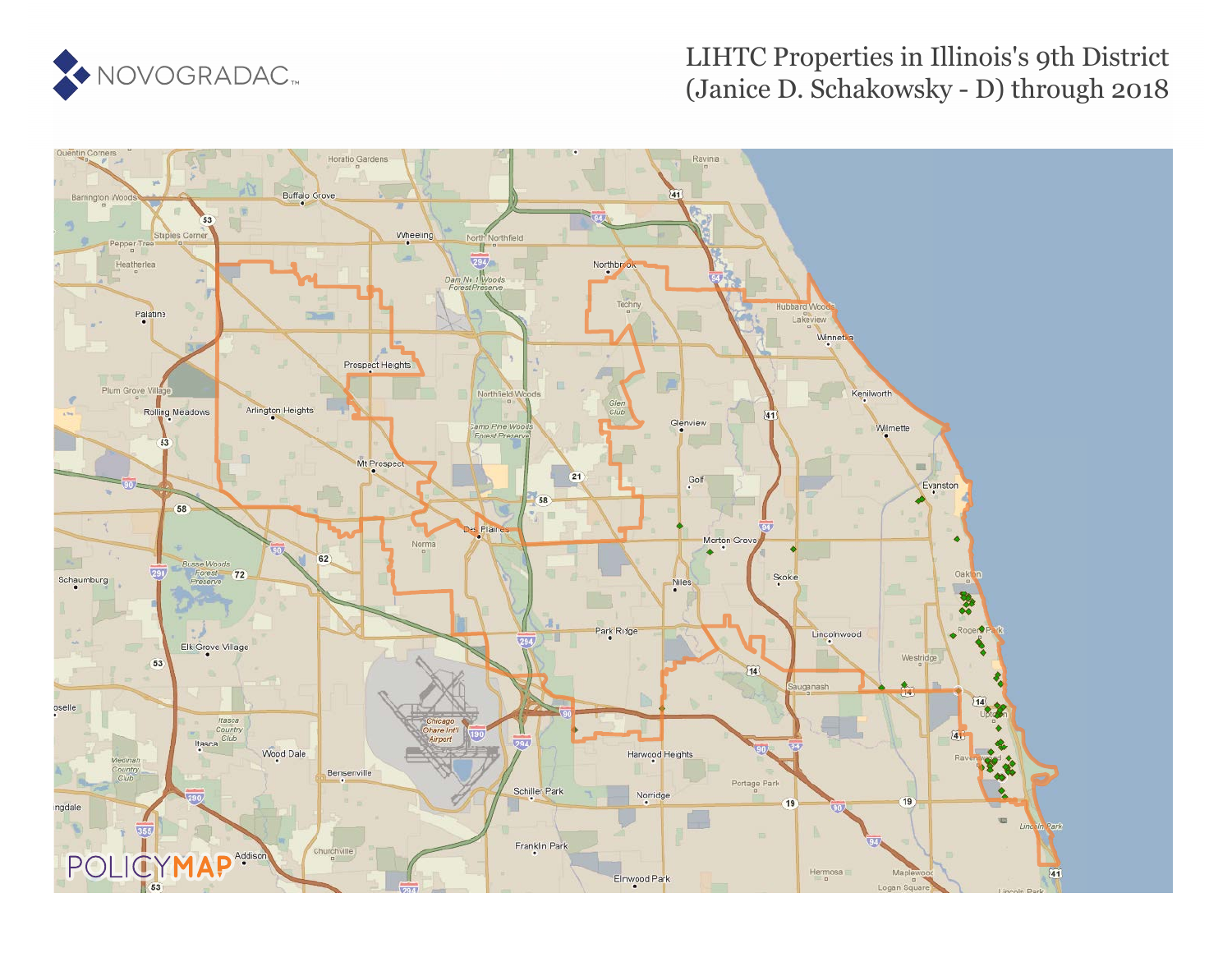

### LIHTC Properties in Illinois's 9th District (Janice D. Schakowsky - D) through 2018

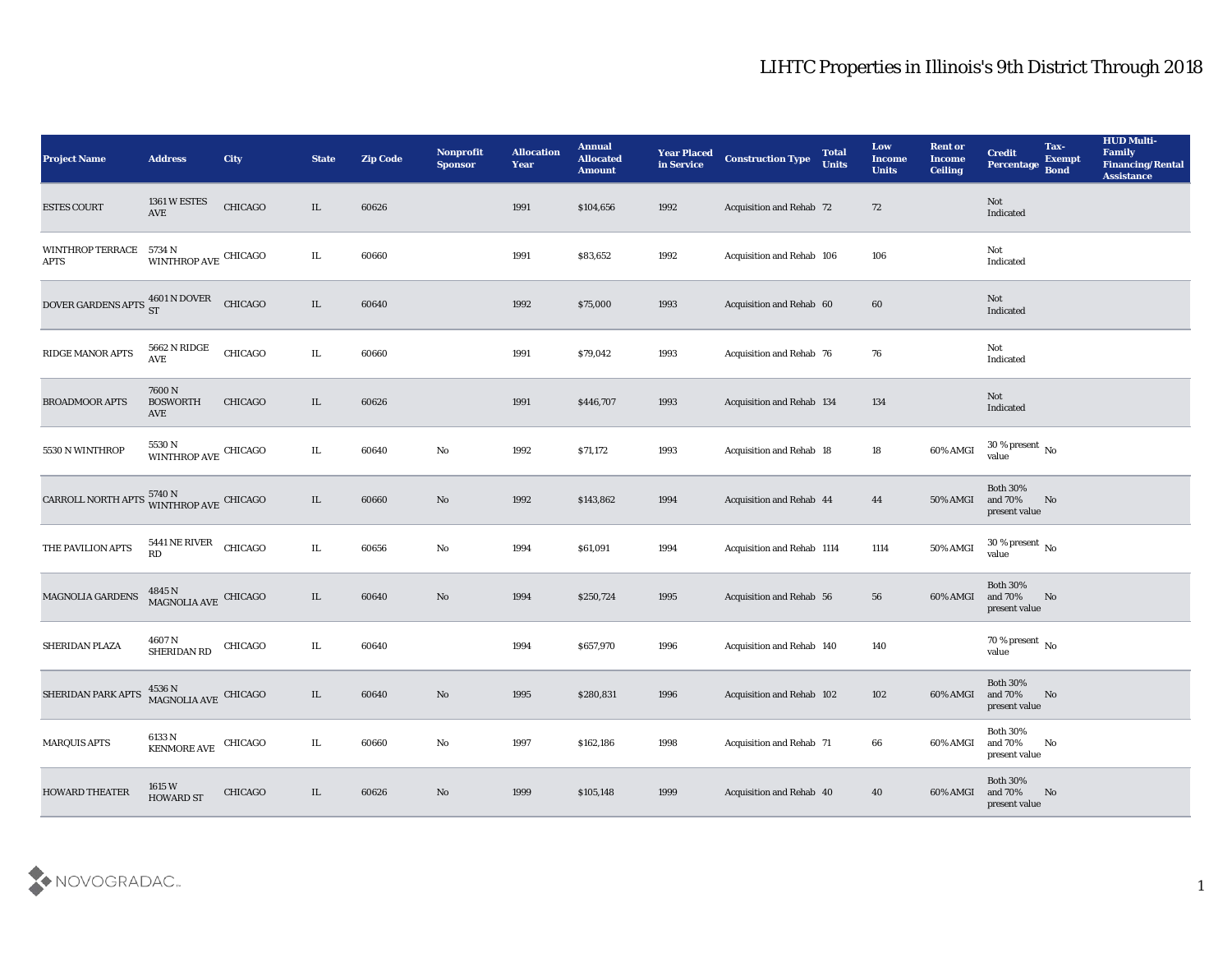| <b>Project Name</b>                                                | <b>Address</b>                               | City    | <b>State</b> | <b>Zip Code</b> | Nonprofit<br><b>Sponsor</b> | <b>Allocation</b><br><b>Year</b> | <b>Annual</b><br><b>Allocated</b><br><b>Amount</b> | <b>Year Placed</b><br>in Service | <b>Construction Type</b>   | <b>Total</b><br><b>Units</b> | Low<br><b>Income</b><br><b>Units</b> | <b>Rent or</b><br><b>Income</b><br><b>Ceiling</b> | <b>Credit</b><br>Percentage                 | Tax-<br><b>Exempt</b><br><b>Bond</b> | <b>HUD Multi-</b><br><b>Family</b><br><b>Financing/Rental</b><br><b>Assistance</b> |
|--------------------------------------------------------------------|----------------------------------------------|---------|--------------|-----------------|-----------------------------|----------------------------------|----------------------------------------------------|----------------------------------|----------------------------|------------------------------|--------------------------------------|---------------------------------------------------|---------------------------------------------|--------------------------------------|------------------------------------------------------------------------------------|
| <b>ESTES COURT</b>                                                 | 1361 W ESTES<br>$\operatorname{AVE}$         | CHICAGO | IL           | 60626           |                             | 1991                             | \$104,656                                          | 1992                             | Acquisition and Rehab 72   |                              | 72                                   |                                                   | Not<br>Indicated                            |                                      |                                                                                    |
| WINTHROP TERRACE<br><b>APTS</b>                                    | 5734 N<br>WINTHROP AVE CHICAGO               |         | IL           | 60660           |                             | 1991                             | \$83,652                                           | 1992                             | Acquisition and Rehab 106  |                              | 106                                  |                                                   | Not<br>Indicated                            |                                      |                                                                                    |
| DOVER GARDENS APTS $^{4601}_{ST}$ N DOVER                          |                                              | CHICAGO | IL           | 60640           |                             | 1992                             | \$75,000                                           | 1993                             | Acquisition and Rehab 60   |                              | 60                                   |                                                   | Not<br>Indicated                            |                                      |                                                                                    |
| RIDGE MANOR APTS                                                   | 5662 N RIDGE<br>AVE                          | CHICAGO | IL           | 60660           |                             | 1991                             | \$79,042                                           | 1993                             | Acquisition and Rehab 76   |                              | 76                                   |                                                   | Not<br>Indicated                            |                                      |                                                                                    |
| BROADMOOR APTS                                                     | 7600N<br><b>BOSWORTH</b><br>AVE              | CHICAGO | IL           | 60626           |                             | 1991                             | \$446,707                                          | 1993                             | Acquisition and Rehab 134  |                              | 134                                  |                                                   | Not<br>Indicated                            |                                      |                                                                                    |
| 5530 N WINTHROP                                                    | 5530 N<br>WINTHROP AVE CHICAGO               |         | IL           | 60640           | $\mathbf {No}$              | 1992                             | \$71,172                                           | 1993                             | Acquisition and Rehab 18   |                              | 18                                   | 60% AMGI                                          | $30\,\%$ present $\,$ No value              |                                      |                                                                                    |
| CARROLL NORTH APTS $^{5740\,\rm{N}}_{\rm \,WINTHROP\,AVE}$ CHICAGO |                                              |         | IL           | 60660           | No                          | 1992                             | \$143,862                                          | 1994                             | Acquisition and Rehab 44   |                              | 44                                   | <b>50% AMGI</b>                                   | <b>Both 30%</b><br>and 70%<br>present value | No                                   |                                                                                    |
| THE PAVILION APTS                                                  | 5441 NE RIVER<br><b>RD</b>                   | CHICAGO | IL           | 60656           | $\mathbf{No}$               | 1994                             | \$61,091                                           | 1994                             | Acquisition and Rehab 1114 |                              | 1114                                 | 50% AMGI                                          | 30 % present $\,$ No $\,$<br>value          |                                      |                                                                                    |
| <b>MAGNOLIA GARDENS</b>                                            | $4845$ N $$\rm MAGNOLIA$ AVE $$\rm CHICAGO$$ |         | IL           | 60640           | $\rm\thinspace No$          | 1994                             | \$250,724                                          | 1995                             | Acquisition and Rehab 56   |                              | 56                                   | 60% AMGI                                          | <b>Both 30%</b><br>and 70%<br>present value | No                                   |                                                                                    |
| SHERIDAN PLAZA                                                     | 4607 N<br>SHERIDAN RD                        | CHICAGO | IL           | 60640           |                             | 1994                             | \$657,970                                          | 1996                             | Acquisition and Rehab 140  |                              | 140                                  |                                                   | $70$ % present $\,$ No value                |                                      |                                                                                    |
| SHERIDAN PARK APTS                                                 | $4536$ N<br>MAGNOLIA AVE CHICAGO             |         | IL           | 60640           | No                          | 1995                             | \$280,831                                          | 1996                             | Acquisition and Rehab 102  |                              | 102                                  | 60% AMGI                                          | <b>Both 30%</b><br>and 70%<br>present value | No                                   |                                                                                    |
| <b>MARQUIS APTS</b>                                                | $6133$ N<br>KENMORE AVE                      | CHICAGO | IL           | 60660           | $\rm\thinspace No$          | 1997                             | \$162,186                                          | 1998                             | Acquisition and Rehab 71   |                              | 66                                   | 60% AMGI                                          | <b>Both 30%</b><br>and 70%<br>present value | No                                   |                                                                                    |
| <b>HOWARD THEATER</b>                                              | 1615 W<br><b>HOWARD ST</b>                   | CHICAGO | IL           | 60626           | $\rm\, No$                  | 1999                             | \$105,148                                          | 1999                             | Acquisition and Rehab 40   |                              | 40                                   | 60% AMGI                                          | Both $30\%$<br>and 70%<br>present value     | N <sub>o</sub>                       |                                                                                    |

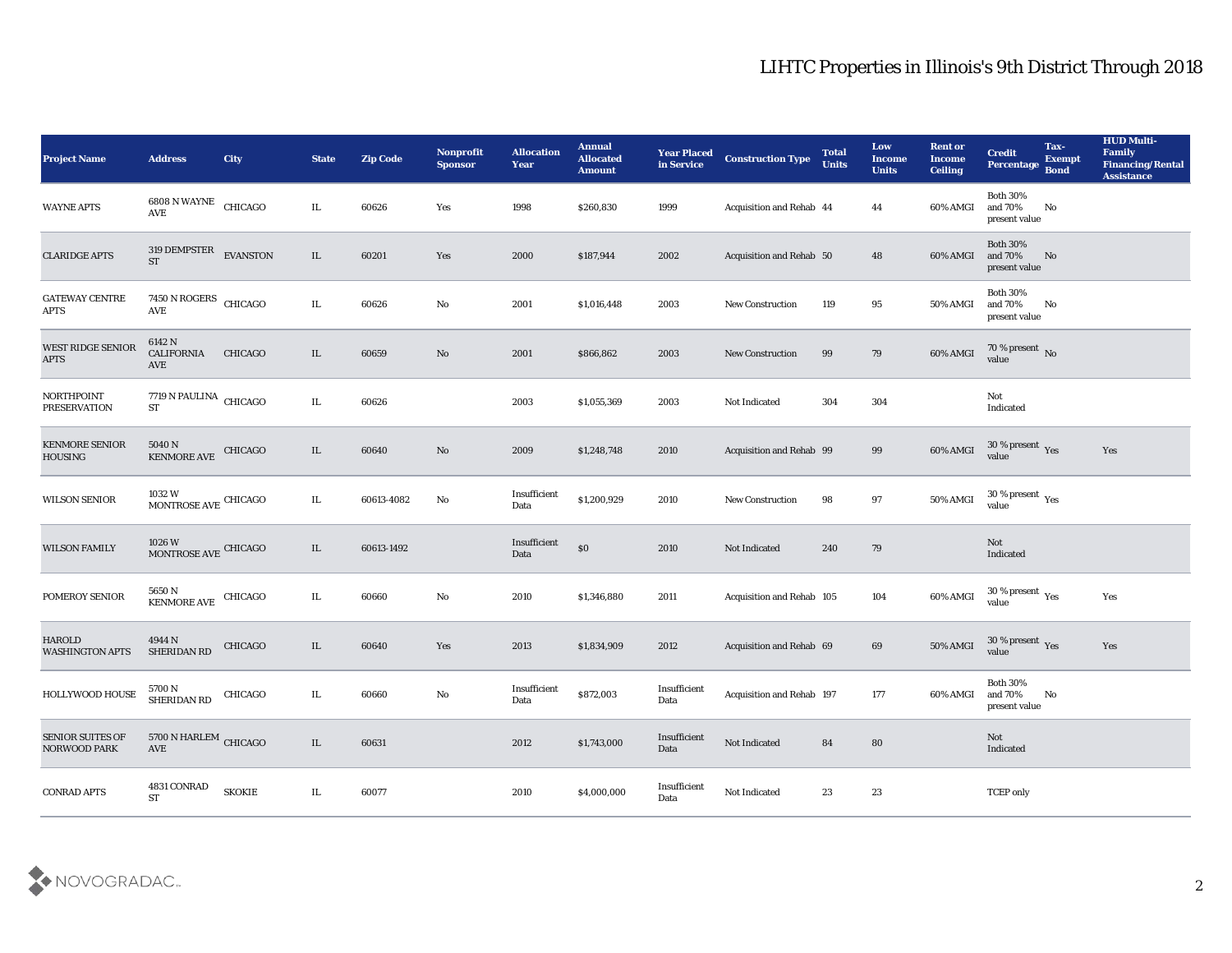| Project Name                             | <b>Address</b>                                            | <b>City</b>    | <b>State</b> | <b>Zip Code</b> | Nonprofit<br><b>Sponsor</b> | <b>Allocation</b><br><b>Year</b> | <b>Annual</b><br><b>Allocated</b><br><b>Amount</b> | <b>Year Placed</b><br>in Service | <b>Construction Type</b>  | <b>Total</b><br><b>Units</b> | Low<br><b>Income</b><br><b>Units</b> | <b>Rent or</b><br><b>Income</b><br><b>Ceiling</b> | <b>Credit</b><br>Percentage                      | Tax-<br><b>Exempt</b><br><b>Bond</b> | <b>HUD Multi-</b><br>Family<br><b>Financing/Rental</b><br><b>Assistance</b> |
|------------------------------------------|-----------------------------------------------------------|----------------|--------------|-----------------|-----------------------------|----------------------------------|----------------------------------------------------|----------------------------------|---------------------------|------------------------------|--------------------------------------|---------------------------------------------------|--------------------------------------------------|--------------------------------------|-----------------------------------------------------------------------------|
| <b>WAYNE APTS</b>                        | $6808$ N WAYNE $\,$ CHICAGO AVE                           |                | IL           | 60626           | Yes                         | 1998                             | \$260,830                                          | 1999                             | Acquisition and Rehab 44  |                              | 44                                   | 60% AMGI                                          | <b>Both 30%</b><br>and 70%<br>present value      | No                                   |                                                                             |
| <b>CLARIDGE APTS</b>                     | 319 DEMPSTER EVANSTON<br><b>ST</b>                        |                | IL           | 60201           | Yes                         | 2000                             | \$187,944                                          | 2002                             | Acquisition and Rehab 50  |                              | 48                                   | 60% AMGI                                          | <b>Both 30%</b><br>and 70%<br>present value      | No                                   |                                                                             |
| <b>GATEWAY CENTRE</b><br><b>APTS</b>     | 7450 N ROGERS CHICAGO<br>AVE                              |                | IL           | 60626           | $\rm\thinspace No$          | 2001                             | \$1,016,448                                        | 2003                             | New Construction          | 119                          | 95                                   | 50% AMGI                                          | <b>Both 30%</b><br>and 70%<br>present value      | No                                   |                                                                             |
| WEST RIDGE SENIOR<br><b>APTS</b>         | 6142 N<br><b>CALIFORNIA</b><br>AVE                        | <b>CHICAGO</b> | $\rm IL$     | 60659           | $\mathbf{N}\mathbf{o}$      | 2001                             | \$866,862                                          | 2003                             | <b>New Construction</b>   | 99                           | 79                                   | 60% AMGI                                          | $70\,\%$ present $\,$ No value                   |                                      |                                                                             |
| <b>NORTHPOINT</b><br><b>PRESERVATION</b> | $7719$ N PAULINA $\,$ CHICAGO $\,$<br><b>ST</b>           |                | IL           | 60626           |                             | 2003                             | \$1,055,369                                        | 2003                             | Not Indicated             | 304                          | 304                                  |                                                   | Not<br>Indicated                                 |                                      |                                                                             |
| <b>KENMORE SENIOR</b><br><b>HOUSING</b>  | 5040 N<br>KENMORE AVE CHICAGO                             |                | IL           | 60640           | $\mathbf{N}\mathbf{o}$      | 2009                             | \$1,248,748                                        | 2010                             | Acquisition and Rehab 99  |                              | 99                                   | 60% AMGI                                          | $30\,\%$ present $\,$ Yes value                  |                                      | Yes                                                                         |
| <b>WILSON SENIOR</b>                     | $1032\ \mathrm{W}$ MONTROSE AVE CHICAGO                   |                | IL           | 60613-4082      | $\mathbf{N}\mathbf{o}$      | Insufficient<br>Data             | \$1,200,929                                        | 2010                             | <b>New Construction</b>   | 98                           | 97                                   | $50\%$ AMGI                                       | $30\,\%$ present $\,$ Yes value                  |                                      |                                                                             |
| <b>WILSON FAMILY</b>                     | $1026\,\mathrm{W}$ MONTROSE AVE CHICAGO                   |                | IL           | 60613-1492      |                             | Insufficient<br>Data             | $\$0$                                              | 2010                             | Not Indicated             | 240                          | 79                                   |                                                   | Not<br>Indicated                                 |                                      |                                                                             |
| POMEROY SENIOR                           | 5650 N<br>KENMORE AVE CHICAGO                             |                | IL           | 60660           | $\rm\thinspace No$          | 2010                             | \$1,346,880                                        | 2011                             | Acquisition and Rehab 105 |                              | 104                                  | 60% AMGI                                          | $30\,\%$ present $\,$ Yes value                  |                                      | Yes                                                                         |
| <b>HAROLD</b><br><b>WASHINGTON APTS</b>  | 4944 N<br>SHERIDAN RD                                     | CHICAGO        | IL           | 60640           | Yes                         | 2013                             | \$1,834,909                                        | 2012                             | Acquisition and Rehab 69  |                              | 69                                   | <b>50% AMGI</b>                                   | $30\,\%$ present $\,$ Yes value                  |                                      | Yes                                                                         |
| HOLLYWOOD HOUSE                          | 5700 N<br>SHERIDAN RD                                     | CHICAGO        | IL           | 60660           | No                          | Insufficient<br>Data             | \$872,003                                          | Insufficient<br>Data             | Acquisition and Rehab 197 |                              | 177                                  | 60% AMGI                                          | <b>Both 30%</b><br>and 70%<br>$\,$ present value | No                                   |                                                                             |
| SENIOR SUITES OF<br>NORWOOD PARK         | $5700$ N HARLEM $\,$ CHICAGO $\,$<br>$\operatorname{AVE}$ |                | IL           | 60631           |                             | 2012                             | \$1,743,000                                        | Insufficient<br>Data             | Not Indicated             | 84                           | ${\bf 80}$                           |                                                   | Not<br>Indicated                                 |                                      |                                                                             |
| <b>CONRAD APTS</b>                       | 4831 CONRAD<br><b>ST</b>                                  | <b>SKOKIE</b>  | IL           | 60077           |                             | 2010                             | \$4,000,000                                        | Insufficient<br>Data             | Not Indicated             | 23                           | $23\,$                               |                                                   | <b>TCEP</b> only                                 |                                      |                                                                             |

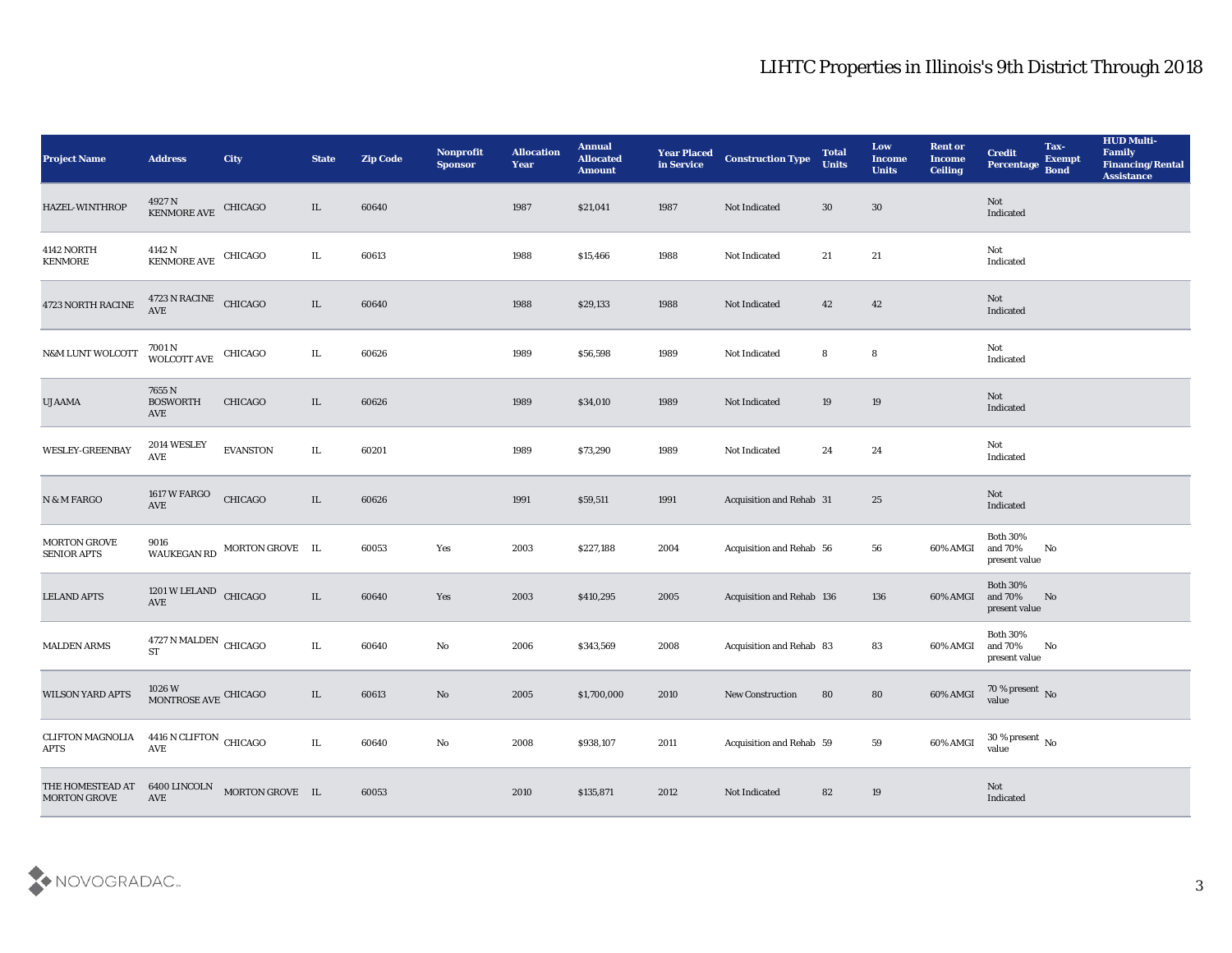| <b>Project Name</b>                             | <b>Address</b>                                 | <b>City</b>                 | <b>State</b> | <b>Zip Code</b> | Nonprofit<br><b>Sponsor</b> | <b>Allocation</b><br><b>Year</b> | <b>Annual</b><br><b>Allocated</b><br><b>Amount</b> | <b>Year Placed</b><br>in Service | <b>Construction Type</b>         | <b>Total</b><br><b>Units</b> | Low<br><b>Income</b><br><b>Units</b> | <b>Rent or</b><br><b>Income</b><br><b>Ceiling</b> | <b>Credit</b><br>Percentage Bond            | Tax-<br><b>Exempt</b> | <b>HUD Multi-</b><br>Family<br><b>Financing/Rental</b><br><b>Assistance</b> |
|-------------------------------------------------|------------------------------------------------|-----------------------------|--------------|-----------------|-----------------------------|----------------------------------|----------------------------------------------------|----------------------------------|----------------------------------|------------------------------|--------------------------------------|---------------------------------------------------|---------------------------------------------|-----------------------|-----------------------------------------------------------------------------|
| HAZEL-WINTHROP                                  | $4927\,\mathrm{N}$ KENMORE AVE CHICAGO         |                             | $\rm IL$     | 60640           |                             | 1987                             | \$21,041                                           | 1987                             | Not Indicated                    | 30                           | $30\,$                               |                                                   | Not<br>Indicated                            |                       |                                                                             |
| 4142 NORTH<br>KENMORE                           | $4142$ N<br>KENMORE AVE CHICAGO                |                             | IL           | 60613           |                             | 1988                             | \$15,466                                           | 1988                             | Not Indicated                    | 21                           | 21                                   |                                                   | Not<br>Indicated                            |                       |                                                                             |
| 4723 NORTH RACINE                               | $4723$ N RACINE $\quad$ CHICAGO AVE            |                             | $\rm IL$     | 60640           |                             | 1988                             | \$29,133                                           | 1988                             | Not Indicated                    | 42                           | 42                                   |                                                   | Not<br>Indicated                            |                       |                                                                             |
| <b>N&amp;M LUNT WOLCOTT</b>                     | $7001\,\mathrm{N}$ WOLCOTT AVE CHICAGO         |                             | IL           | 60626           |                             | 1989                             | \$56,598                                           | 1989                             | Not Indicated                    | 8                            | 8                                    |                                                   | Not<br>Indicated                            |                       |                                                                             |
| <b>UJAAMA</b>                                   | 7655 N<br><b>BOSWORTH</b><br>AVE               | <b>CHICAGO</b>              | IL           | 60626           |                             | 1989                             | \$34,010                                           | 1989                             | Not Indicated                    | 19                           | 19                                   |                                                   | Not<br>Indicated                            |                       |                                                                             |
| <b>WESLEY-GREENBAY</b>                          | 2014 WESLEY<br>AVE                             | <b>EVANSTON</b>             | IL           | 60201           |                             | 1989                             | \$73,290                                           | 1989                             | Not Indicated                    | 24                           | 24                                   |                                                   | Not<br>Indicated                            |                       |                                                                             |
| $\hbox{N}$ & $\hbox{M}$ FARGO                   | 1617 W FARGO<br>$\operatorname{AVE}$           | CHICAGO                     | $\rm IL$     | 60626           |                             | 1991                             | \$59,511                                           | 1991                             | Acquisition and Rehab 31         |                              | 25                                   |                                                   | Not<br>Indicated                            |                       |                                                                             |
| <b>MORTON GROVE</b><br><b>SENIOR APTS</b>       | 9016                                           | WAUKEGAN RD MORTON GROVE IL |              | 60053           | Yes                         | 2003                             | \$227,188                                          | 2004                             | Acquisition and Rehab 56         |                              | 56                                   | 60% AMGI                                          | <b>Both 30%</b><br>and 70%<br>present value | No                    |                                                                             |
| <b>LELAND APTS</b>                              | 1201 W LELAND CHICAGO<br>$\operatorname{AVE}$  |                             | $\rm IL$     | 60640           | Yes                         | 2003                             | \$410,295                                          | 2005                             | <b>Acquisition and Rehab 136</b> |                              | 136                                  | 60% AMGI                                          | <b>Both 30%</b><br>and 70%<br>present value | No                    |                                                                             |
| <b>MALDEN ARMS</b>                              | $4727$ N MALDEN $\,$ CHICAGO $\,$<br><b>ST</b> |                             | IL           | 60640           | $\rm\thinspace No$          | 2006                             | \$343,569                                          | 2008                             | Acquisition and Rehab 83         |                              | 83                                   | 60% AMGI                                          | <b>Both 30%</b><br>and 70%<br>present value | No                    |                                                                             |
| <b>WILSON YARD APTS</b>                         | $1026\,\mathrm{W}$ MONTROSE AVE CHICAGO        |                             | IL           | 60613           | No                          | 2005                             | \$1,700,000                                        | 2010                             | <b>New Construction</b>          | 80                           | 80                                   | 60% AMGI                                          | $70\,\%$ present $\,$ No value              |                       |                                                                             |
| CLIFTON MAGNOLIA 4416 N CLIFTON CHICAGO<br>APTS | AVE                                            |                             | $\rm IL$     | 60640           | $\rm\, No$                  | 2008                             | \$938,107                                          | 2011                             | Acquisition and Rehab 59         |                              | 59                                   | 60% AMGI                                          | $30\,\%$ present $\,$ No value              |                       |                                                                             |
| THE HOMESTEAD AT<br><b>MORTON GROVE</b>         | 6400 LINCOLN<br>$\operatorname{AVE}$           | MORTON GROVE IL             |              | 60053           |                             | 2010                             | \$135,871                                          | 2012                             | Not Indicated                    | 82                           | 19                                   |                                                   | $\operatorname{\bf Not}$<br>Indicated       |                       |                                                                             |

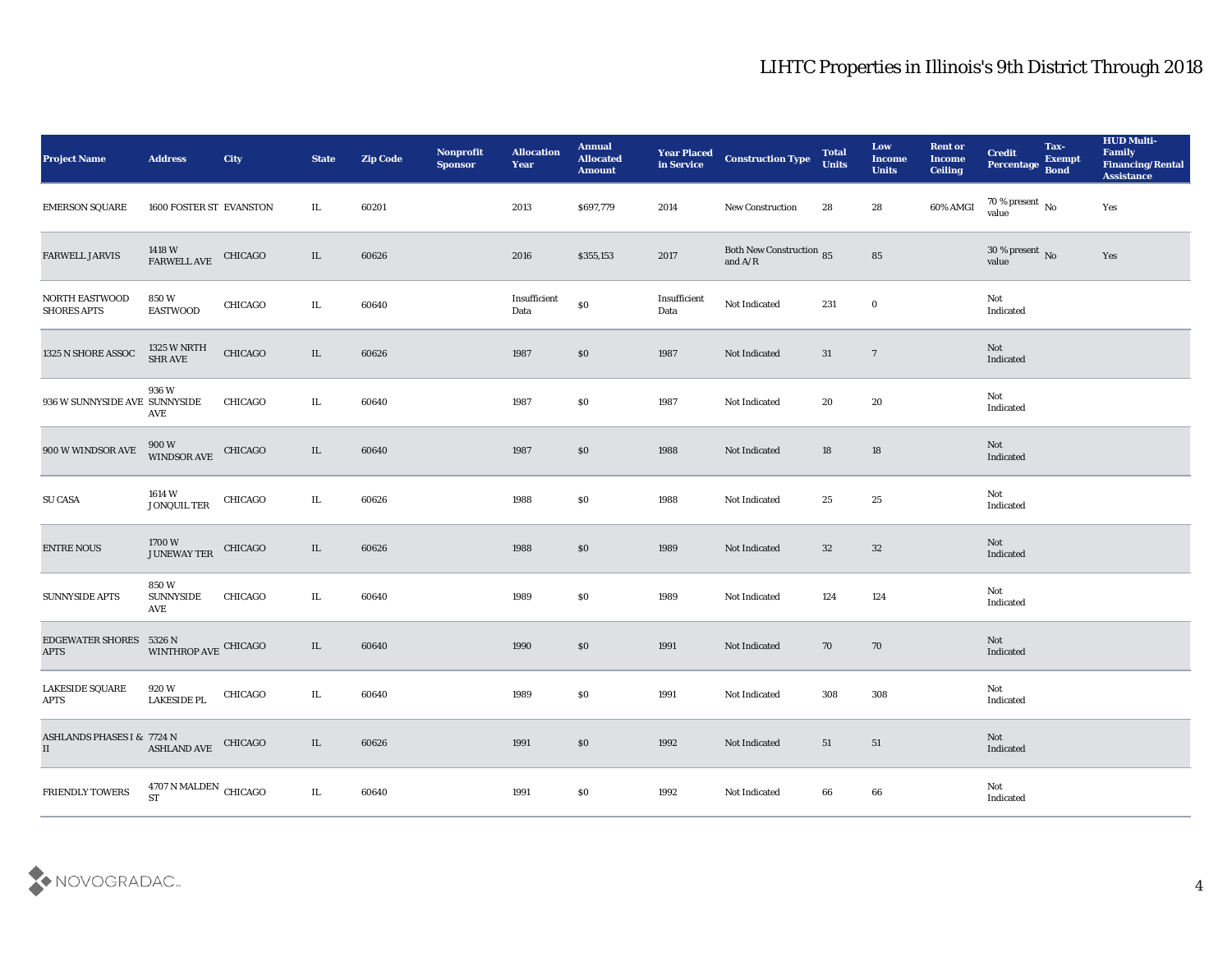| <b>Project Name</b>                                                                                                     | <b>Address</b>                                 | City           | <b>State</b> | <b>Zip Code</b> | Nonprofit<br><b>Sponsor</b> | <b>Allocation</b><br>Year | <b>Annual</b><br><b>Allocated</b><br><b>Amount</b> |                      | <b>Year Placed Construction Type</b><br>in Service <b>Construction Type</b> | <b>Total</b><br><b>Units</b> | Low<br><b>Income</b><br><b>Units</b> | <b>Rent or</b><br><b>Income</b><br><b>Ceiling</b> | <b>Credit</b><br><b>Percentage Exempt</b><br>Percentage Bond | Tax- | <b>HUD Multi-</b><br>Family<br><b>Financing/Rental</b><br><b>Assistance</b> |
|-------------------------------------------------------------------------------------------------------------------------|------------------------------------------------|----------------|--------------|-----------------|-----------------------------|---------------------------|----------------------------------------------------|----------------------|-----------------------------------------------------------------------------|------------------------------|--------------------------------------|---------------------------------------------------|--------------------------------------------------------------|------|-----------------------------------------------------------------------------|
| <b>EMERSON SQUARE</b>                                                                                                   | 1600 FOSTER ST EVANSTON                        |                | IL           | 60201           |                             | 2013                      | \$697,779                                          | 2014                 | <b>New Construction</b>                                                     | 28                           | 28                                   | $60\%$ AMGI                                       | $70\%$ present No<br>value                                   |      | Yes                                                                         |
| <b>FARWELL JARVIS</b>                                                                                                   | 1418 W<br>FARWELL AVE                          | CHICAGO        | IL           | 60626           |                             | 2016                      | \$355,153                                          | 2017                 | Both New Construction 85<br>and $\rm A/R$                                   |                              | ${\bf 85}$                           |                                                   | $30\,\%$ present $\,$ No value                               |      | Yes                                                                         |
| <b>NORTH EASTWOOD</b><br><b>SHORES APTS</b>                                                                             | 850 W<br><b>EASTWOOD</b>                       | CHICAGO        | IL           | 60640           |                             | Insufficient<br>Data      | $\$0$                                              | Insufficient<br>Data | Not Indicated                                                               | 231                          | $\bf{0}$                             |                                                   | Not<br>Indicated                                             |      |                                                                             |
| 1325 N SHORE ASSOC                                                                                                      | 1325 W NRTH<br>SHR AVE                         | CHICAGO        | $\rm IL$     | 60626           |                             | 1987                      | $\$0$                                              | 1987                 | Not Indicated                                                               | 31                           | $\overline{7}$                       |                                                   | Not<br>Indicated                                             |      |                                                                             |
| 936 W SUNNYSIDE AVE SUNNYSIDE                                                                                           | 936 W<br>AVE                                   | CHICAGO        | IL.          | 60640           |                             | 1987                      | \$0                                                | 1987                 | Not Indicated                                                               | 20                           | 20                                   |                                                   | Not<br>Indicated                                             |      |                                                                             |
| 900 W WINDSOR AVE                                                                                                       | 900 W<br>WINDSOR AVE CHICAGO                   |                | IL           | 60640           |                             | 1987                      | $\$0$                                              | 1988                 | Not Indicated                                                               | 18                           | 18                                   |                                                   | Not<br>Indicated                                             |      |                                                                             |
| <b>SU CASA</b>                                                                                                          | 1614 W<br>JONQUIL TER                          | CHICAGO        | IL.          | 60626           |                             | 1988                      | \$0                                                | 1988                 | Not Indicated                                                               | 25                           | 25                                   |                                                   | Not<br>Indicated                                             |      |                                                                             |
| ENTRE NOUS                                                                                                              | 1700 W<br>JUNEWAY TER                          | CHICAGO        | $\rm IL$     | 60626           |                             | 1988                      | $\$0$                                              | 1989                 | Not Indicated                                                               | 32                           | 32                                   |                                                   | Not<br>Indicated                                             |      |                                                                             |
| <b>SUNNYSIDE APTS</b>                                                                                                   | 850W<br><b>SUNNYSIDE</b><br>AVE                | <b>CHICAGO</b> | IL           | 60640           |                             | 1989                      | \$0                                                | 1989                 | Not Indicated                                                               | 124                          | 124                                  |                                                   | Not<br>Indicated                                             |      |                                                                             |
| <b>EDGEWATER SHORES</b><br><b>APTS</b>                                                                                  | $5326\,\mathrm{N}$ WINTHROP AVE CHICAGO        |                | IL           | 60640           |                             | 1990                      | $\$0$                                              | 1991                 | Not Indicated                                                               | 70                           | 70                                   |                                                   | Not<br>Indicated                                             |      |                                                                             |
| <b>LAKESIDE SQUARE</b><br><b>APTS</b>                                                                                   | 920 W<br><b>LAKESIDE PL</b>                    | CHICAGO        | IL           | 60640           |                             | 1989                      | \$0                                                | 1991                 | Not Indicated                                                               | 308                          | 308                                  |                                                   | Not<br>Indicated                                             |      |                                                                             |
| $\begin{array}{lll} {\bf ASHLANDS\;PHASES\;I\;&\;7724\;N} \\ {\bf II} & {\bf ASHLAND\;AVE} & {\bf CHICAGO} \end{array}$ |                                                |                | IL           | 60626           |                             | 1991                      | $\$0$                                              | 1992                 | Not Indicated                                                               | 51                           | 51                                   |                                                   | Not<br>Indicated                                             |      |                                                                             |
| FRIENDLY TOWERS                                                                                                         | $4707$ N MALDEN $\,$ CHICAGO $\,$<br><b>ST</b> |                | $\rm IL$     | 60640           |                             | 1991                      | $\$0$                                              | 1992                 | Not Indicated                                                               | $\bf 66$                     | $\bf 66$                             |                                                   | Not<br>Indicated                                             |      |                                                                             |

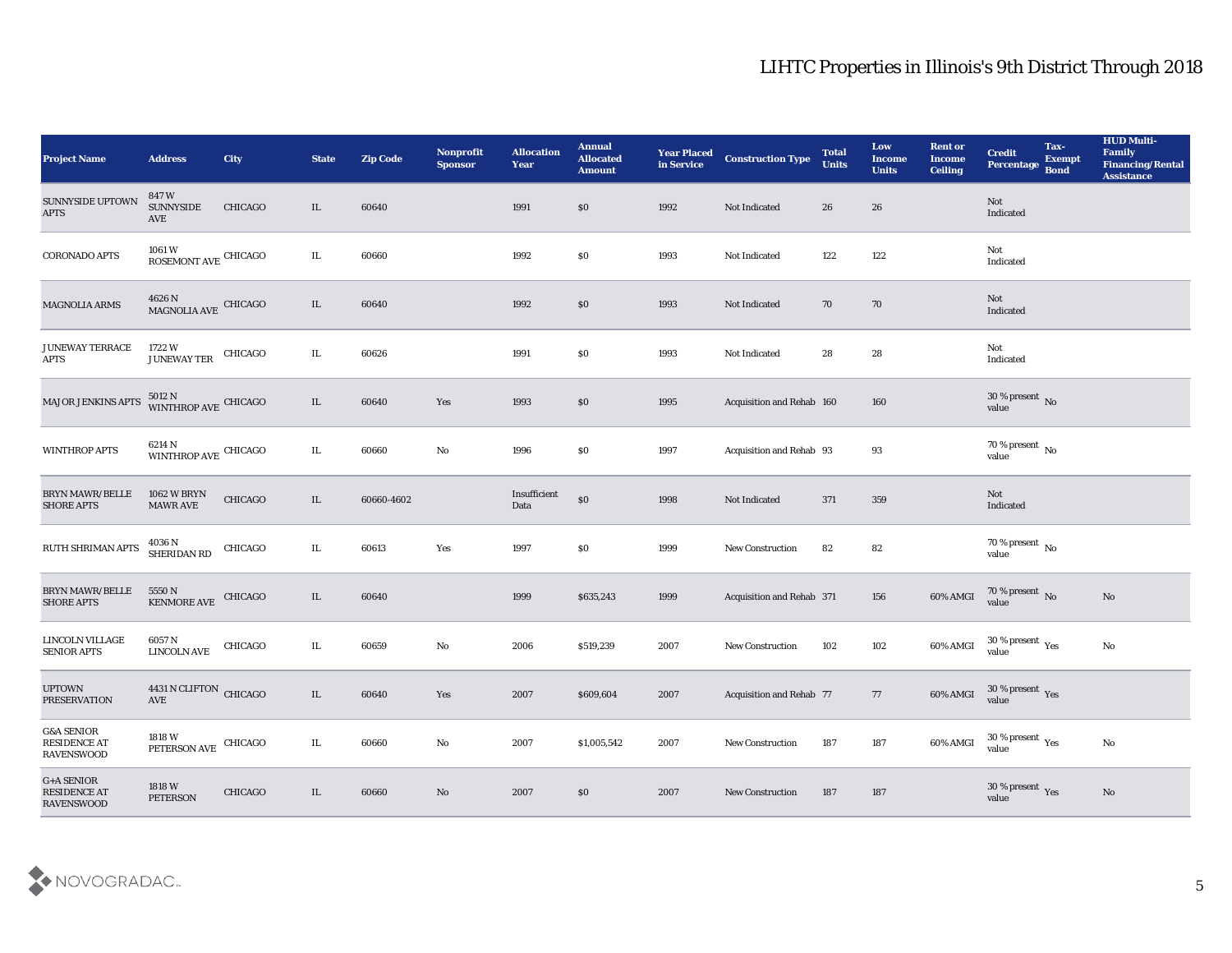| <b>Project Name</b>                                        | <b>Address</b>                             | City           | <b>State</b> | <b>Zip Code</b> | Nonprofit<br><b>Sponsor</b> | <b>Allocation</b><br>Year | <b>Annual</b><br><b>Allocated</b><br><b>Amount</b> | <b>Year Placed</b><br>in Service | <b>Construction Type</b>  | <b>Total</b><br><b>Units</b> | Low<br><b>Income</b><br><b>Units</b> | <b>Rent or</b><br><b>Income</b><br><b>Ceiling</b> | <b>Credit</b><br>Percentage                          | Tax-<br><b>Exempt</b><br><b>Bond</b> | <b>HUD Multi-</b><br>Family<br><b>Financing/Rental</b><br><b>Assistance</b> |
|------------------------------------------------------------|--------------------------------------------|----------------|--------------|-----------------|-----------------------------|---------------------------|----------------------------------------------------|----------------------------------|---------------------------|------------------------------|--------------------------------------|---------------------------------------------------|------------------------------------------------------|--------------------------------------|-----------------------------------------------------------------------------|
| SUNNYSIDE UPTOWN<br>$\rm APTS$                             | 847 W<br><b>SUNNYSIDE</b><br>AVE           | CHICAGO        | IL           | 60640           |                             | 1991                      | \$0                                                | 1992                             | Not Indicated             | 26                           | 26                                   |                                                   | Not<br>Indicated                                     |                                      |                                                                             |
| <b>CORONADO APTS</b>                                       | $1061\,\mathrm{W}$<br>ROSEMONT AVE CHICAGO |                | IL           | 60660           |                             | 1992                      | \$0                                                | 1993                             | Not Indicated             | 122                          | 122                                  |                                                   | Not<br>Indicated                                     |                                      |                                                                             |
| <b>MAGNOLIA ARMS</b>                                       | $4626$ N<br>MAGNOLIA AVE CHICAGO           |                | IL           | 60640           |                             | 1992                      | \$0                                                | 1993                             | Not Indicated             | 70                           | 70                                   |                                                   | Not<br>Indicated                                     |                                      |                                                                             |
| <b>JUNEWAY TERRACE</b><br><b>APTS</b>                      | 1722 W<br><b>JUNEWAY TER</b>               | CHICAGO        | IL           | 60626           |                             | 1991                      | $\$0$                                              | 1993                             | Not Indicated             | 28                           | 28                                   |                                                   | Not<br>Indicated                                     |                                      |                                                                             |
| MAJOR JENKINS APTS                                         | 5012 N<br>WINTHROP AVE CHICAGO             |                | IL           | 60640           | Yes                         | 1993                      | \$0                                                | 1995                             | Acquisition and Rehab 160 |                              | 160                                  |                                                   | $30\,\%$ present $\,$ No value                       |                                      |                                                                             |
| <b>WINTHROP APTS</b>                                       | 6214 N<br>WINTHROP AVE CHICAGO             |                | IL           | 60660           | $\rm\thinspace No$          | 1996                      | \$0                                                | 1997                             | Acquisition and Rehab 93  |                              | 93                                   |                                                   | $70\,\%$ present $\,$ No value                       |                                      |                                                                             |
| <b>BRYN MAWR/BELLE</b><br><b>SHORE APTS</b>                | <b>1062 W BRYN</b><br>MAWR AVE             | CHICAGO        | IL           | 60660-4602      |                             | Insufficient<br>Data      | $\$0$                                              | 1998                             | Not Indicated             | 371                          | 359                                  |                                                   | Not<br>Indicated                                     |                                      |                                                                             |
| RUTH SHRIMAN APTS                                          | 4036 N<br>SHERIDAN RD                      | CHICAGO        | IL           | 60613           | Yes                         | 1997                      | \$0                                                | 1999                             | <b>New Construction</b>   | 82                           | 82                                   |                                                   | 70 % present $\,$ No $\,$<br>value                   |                                      |                                                                             |
| <b>BRYN MAWR/BELLE</b><br><b>SHORE APTS</b>                | 5550 N<br><b>KENMORE AVE</b>               | CHICAGO        | IL           | 60640           |                             | 1999                      | \$635,243                                          | 1999                             | Acquisition and Rehab 371 |                              | 156                                  | 60% AMGI                                          | $70\,\%$ present $\,$ No value                       |                                      | No                                                                          |
| LINCOLN VILLAGE<br><b>SENIOR APTS</b>                      | 6057 N<br><b>LINCOLN AVE</b>               | CHICAGO        | IL           | 60659           | $\rm\thinspace No$          | 2006                      | \$519,239                                          | 2007                             | <b>New Construction</b>   | 102                          | 102                                  | 60% AMGI                                          | $30\,\%$ present $\,$ Yes value                      |                                      | $\mathbf{No}$                                                               |
| <b>UPTOWN</b><br><b>PRESERVATION</b>                       | 4431 N CLIFTON CHICAGO<br>AVE              |                | IL           | 60640           | Yes                         | 2007                      | \$609,604                                          | 2007                             | Acquisition and Rehab 77  |                              | 77                                   | 60% AMGI                                          | 30 % present Yes<br>value                            |                                      |                                                                             |
| <b>G&amp;A SENIOR</b><br>RESIDENCE AT<br><b>RAVENSWOOD</b> | 1818 W<br>PETERSON AVE                     | CHICAGO        | IL           | 60660           | $\mathbf {No}$              | 2007                      | \$1,005,542                                        | 2007                             | <b>New Construction</b>   | 187                          | 187                                  | 60% AMGI                                          | 30 % present $\rm\thinspace\gamma_{\rm es}$<br>value |                                      | $\mathbf{N}\mathbf{o}$                                                      |
| $G+$ A SENIOR<br><b>RESIDENCE AT</b><br><b>RAVENSWOOD</b>  | 1818 W<br><b>PETERSON</b>                  | <b>CHICAGO</b> | IL           | 60660           | $\rm \bf No$                | 2007                      | \$0                                                | 2007                             | <b>New Construction</b>   | 187                          | ${\bf 187}$                          |                                                   | 30 % present Yes<br>value                            |                                      | No                                                                          |